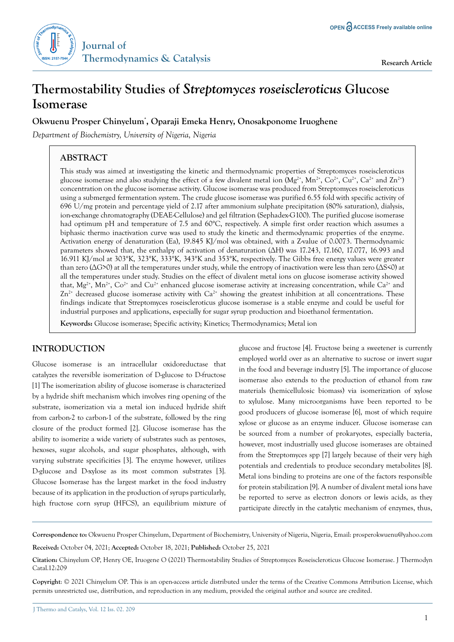

# **Thermostability Studies of** *Streptomyces roseiscleroticus* **Glucose Isomerase**

# **Okwuenu Prosper Chinyelum\* , Oparaji Emeka Henry, Onosakponome Iruoghene**

*Department of Biochemistry, University of Nigeria, Nigeria*

# **ABSTRACT**

This study was aimed at investigating the kinetic and thermodynamic properties of Streptomyces roseiscleroticus glucose isomerase and also studying the effect of a few divalent metal ion  $(Mg^{2*}, Mn^{2*}, Co^{2*}, Cu^{2*}, Ca^{2*}$  and  $Zn^{2*}$ ) concentration on the glucose isomerase activity. Glucose isomerase was produced from Streptomyces roseiscleroticus using a submerged fermentation system. The crude glucose isomerase was purified 6.55 fold with specific activity of 696 U/mg protein and percentage yield of 2.17 after ammonium sulphate precipitation (80% saturation), dialysis, ion-exchange chromatography (DEAE-Cellulose) and gel filtration (Sephadex-G100). The purified glucose isomerase had optimum pH and temperature of 7.5 and 60°C, respectively. A simple first order reaction which assumes a biphasic thermo inactivation curve was used to study the kinetic and thermodynamic properties of the enzyme. Activation energy of denaturation (Ea), 19.845 KJ/mol was obtained, with a Z-value of 0.0073. Thermodynamic parameters showed that, the enthalpy of activation of denaturation (∆H) was 17.243, 17.160, 17.077, 16.993 and 16.911 KJ/mol at 303°K, 323°K, 333°K, 343°K and 353°K, respectively. The Gibbs free energy values were greater than zero (∆G>0) at all the temperatures under study, while the entropy of inactivation were less than zero (ΔS<0) at all the temperatures under study. Studies on the effect of divalent metal ions on glucose isomerase activity showed that,  $Mg^{2+}$ ,  $Mn^{2+}$ ,  $Co^{2+}$  and  $Cu^{2+}$  enhanced glucose isomerase activity at increasing concentration, while  $Ca^{2+}$  and  $Zn^{2+}$  decreased glucose isomerase activity with  $Ca^{2+}$  showing the greatest inhibition at all concentrations. These findings indicate that Streptomyces roseiscleroticus glucose isomerase is a stable enzyme and could be useful for industrial purposes and applications, especially for sugar syrup production and bioethanol fermentation.

**Keywords:** Glucose isomerase; Specific activity; Kinetics; Thermodynamics; Metal ion

# **INTRODUCTION**

Glucose isomerase is an intracellular oxidoreductase that catalyzes the reversible isomerization of D-glucose to D-fructose [1] The isomerization ability of glucose isomerase is characterized by a hydride shift mechanism which involves ring opening of the substrate, isomerization via a metal ion induced hydride shift from carbon-2 to carbon-1 of the substrate, followed by the ring closure of the product formed [2]. Glucose isomerase has the ability to isomerize a wide variety of substrates such as pentoses, hexoses, sugar alcohols, and sugar phosphates, although, with varying substrate specificities [3]. The enzyme however, utilizes D-glucose and D-xylose as its most common substrates [3]. Glucose Isomerase has the largest market in the food industry because of its application in the production of syrups particularly, high fructose corn syrup (HFCS), an equilibrium mixture of

glucose and fructose [4]. Fructose being a sweetener is currently employed world over as an alternative to sucrose or invert sugar in the food and beverage industry [5]. The importance of glucose isomerase also extends to the production of ethanol from raw materials (hemicellulosic biomass) via isomerization of xylose to xylulose. Many microorganisms have been reported to be good producers of glucose isomerase [6], most of which require xylose or glucose as an enzyme inducer. Glucose isomerase can be sourced from a number of prokaryotes, especially bacteria, however, most industrially used glucose isomerases are obtained from the Streptomyces spp [7] largely because of their very high potentials and credentials to produce secondary metabolites [8]. Metal ions binding to proteins are one of the factors responsible for protein stabilization [9]. A number of divalent metal ions have be reported to serve as electron donors or lewis acids, as they participate directly in the catalytic mechanism of enzymes, thus,

**Correspondence to:** Okwuenu Prosper Chinyelum, Department of Biochemistry, University of Nigeria, Nigeria, Email: prosperokwuenu@yahoo.com

**Received:** October 04, 2021; **Accepted:** October 18, 2021; **Published:** October 25, 2021

**Copyright**: © 2021 Chinyelum OP. This is an open-access article distributed under the terms of the Creative Commons Attribution License, which permits unrestricted use, distribution, and reproduction in any medium, provided the original author and source are credited.

**Citation:** Chinyelum OP, Henry OE, Iruogene O (2021) Thermostability Studies of Streptomyces Roseiscleroticus Glucose Isomerase. J Thermodyn Catal.12:209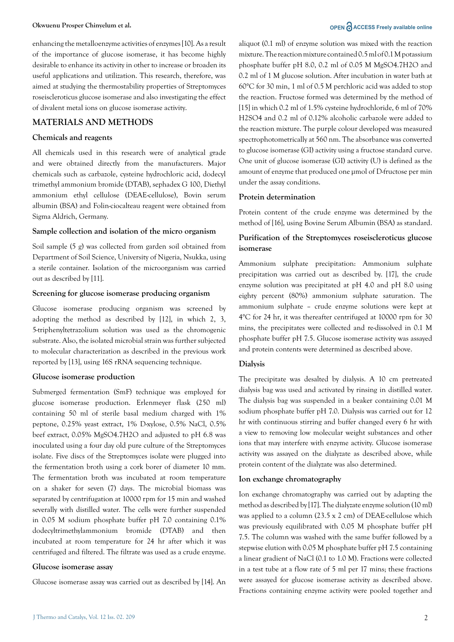# enhancing the metalloenzyme activities of enzymes [10]. As a result of the importance of glucose isomerase, it has become highly desirable to enhance its activity in other to increase or broaden its useful applications and utilization. This research, therefore, was aimed at studying the thermostability properties of Streptomyces roseiscleroticus glucose isomerase and also investigating the effect of divalent metal ions on glucose isomerase activity.

# **MATERIALS AND METHODS**

#### **Chemicals and reagents**

All chemicals used in this research were of analytical grade and were obtained directly from the manufacturers. Major chemicals such as carbazole, cysteine hydrochloric acid, dodecyl trimethyl ammonium bromide (DTAB), sephadex G 100, Diethyl ammonium ethyl cellulose (DEAE-cellulose), Bovin serum albumin (BSA) and Folin-ciocalteau reagent were obtained from Sigma Aldrich, Germany.

#### **Sample collection and isolation of the micro organism**

Soil sample (5 g) was collected from garden soil obtained from Department of Soil Science, University of Nigeria, Nsukka, using a sterile container. Isolation of the microorganism was carried out as described by [11].

#### **Screening for glucose isomerase producing organism**

Glucose isomerase producing organism was screened by adopting the method as described by [12], in which 2, 3, 5-triphenyltetrazolium solution was used as the chromogenic substrate. Also, the isolated microbial strain was further subjected to molecular characterization as described in the previous work reported by [13], using 16S rRNA sequencing technique.

#### **Glucose isomerase production**

Submerged fermentation (SmF) technique was employed for glucose isomerase production. Erlenmeyer flask (250 ml) containing 50 ml of sterile basal medium charged with 1% peptone, 0.25% yeast extract, 1% D-xylose, 0.5% NaCl, 0.5% beef extract, 0.05% MgSO4.7H2O and adjusted to pH 6.8 was inoculated using a four day old pure culture of the Streptomyces isolate. Five discs of the Streptomyces isolate were plugged into the fermentation broth using a cork borer of diameter 10 mm. The fermentation broth was incubated at room temperature on a shaker for seven (7) days. The microbial biomass was separated by centrifugation at 10000 rpm for 15 min and washed severally with distilled water. The cells were further suspended in 0.05 M sodium phosphate buffer pH 7.0 containing 0.1% dodecyltrimethylammonium bromide (DTAB) and then incubated at room temperature for 24 hr after which it was centrifuged and filtered. The filtrate was used as a crude enzyme.

# **Glucose isomerase assay**

Glucose isomerase assay was carried out as described by [14]. An

aliquot (0.1 ml) of enzyme solution was mixed with the reaction mixture. The reaction mixture contained 0.5 ml of 0.1 M potassium phosphate buffer pH 8.0, 0.2 ml of 0.05 M MgSO4.7H2O and 0.2 ml of 1 M glucose solution. After incubation in water bath at 60°C for 30 min, 1 ml of 0.5 M perchloric acid was added to stop the reaction. Fructose formed was determined by the method of [15] in which 0.2 ml of 1.5% cysteine hydrochloride, 6 ml of 70% H2SO4 and 0.2 ml of 0.12% alcoholic carbazole were added to the reaction mixture. The purple colour developed was measured spectrophotometrically at 560 nm. The absorbance was converted to glucose isomerase (GI) activity using a fructose standard curve. One unit of glucose isomerase (GI) activity (U) is defined as the amount of enzyme that produced one μmol of D-fructose per min under the assay conditions.

# **Protein determination**

Protein content of the crude enzyme was determined by the method of [16], using Bovine Serum Albumin (BSA) as standard.

# **Purification of the Streptomyces roseiscleroticus glucose isomerase**

Ammonium sulphate precipitation: Ammonium sulphate precipitation was carried out as described by. [17], the crude enzyme solution was precipitated at pH 4.0 and pH 8.0 using eighty percent (80%) ammonium sulphate saturation. The ammonium sulphate – crude enzyme solutions were kept at 4°C for 24 hr, it was thereafter centrifuged at 10000 rpm for 30 mins, the precipitates were collected and re-dissolved in 0.1 M phosphate buffer pH 7.5. Glucose isomerase activity was assayed and protein contents were determined as described above.

# **Dialysis**

The precipitate was desalted by dialysis. A 10 cm pretreated dialysis bag was used and activated by rinsing in distilled water. The dialysis bag was suspended in a beaker containing 0.01 M sodium phosphate buffer pH 7.0. Dialysis was carried out for 12 hr with continuous stirring and buffer changed every 6 hr with a view to removing low molecular weight substances and other ions that may interfere with enzyme activity. Glucose isomerase activity was assayed on the dialyzate as described above, while protein content of the dialyzate was also determined.

# **Ion exchange chromatography**

Ion exchange chromatography was carried out by adapting the method as described by [17]. The dialyzate enzyme solution (10 ml) was applied to a column (23.5 x 2 cm) of DEAE-cellulose which was previously equilibrated with 0.05 M phosphate buffer pH 7.5. The column was washed with the same buffer followed by a stepwise elution with 0.05 M phosphate buffer pH 7.5 containing a linear gradient of NaCl (0.1 to 1.0 M). Fractions were collected in a test tube at a flow rate of 5 ml per 17 mins; these fractions were assayed for glucose isomerase activity as described above. Fractions containing enzyme activity were pooled together and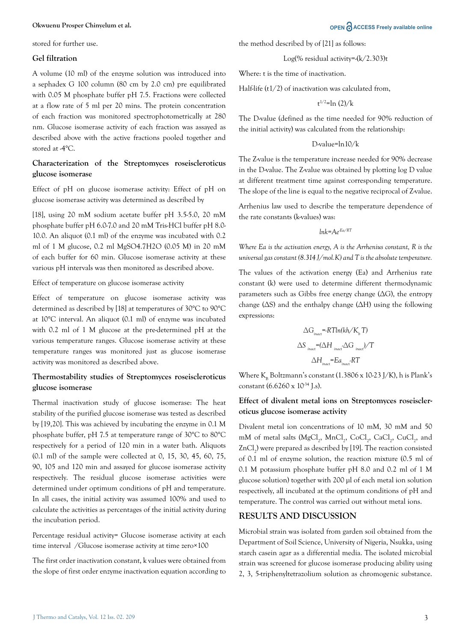#### **Okwuenu Prosper Chinyelum et al. OPEN ACCESS Freely available online**

stored for further use.

#### **Gel filtration**

A volume (10 ml) of the enzyme solution was introduced into a sephadex G 100 column (80 cm by 2.0 cm) pre equilibrated with 0.05 M phosphate buffer pH 7.5. Fractions were collected at a flow rate of 5 ml per 20 mins. The protein concentration of each fraction was monitored spectrophotometrically at 280 nm. Glucose isomerase activity of each fraction was assayed as described above with the active fractions pooled together and stored at -4°C.

# **Characterization of the Streptomyces roseiscleroticus glucose isomerase**

Effect of pH on glucose isomerase activity: Effect of pH on glucose isomerase activity was determined as described by

[18], using 20 mM sodium acetate buffer pH 3.5-5.0, 20 mM phosphate buffer pH 6.0-7.0 and 20 mM Tris-HCl buffer pH 8.0- 10.0. An aliquot (0.1 ml) of the enzyme was incubated with 0.2 ml of 1 M glucose, 0.2 ml MgSO4.7H2O (0.05 M) in 20 mM of each buffer for 60 min. Glucose isomerase activity at these various pH intervals was then monitored as described above.

#### Effect of temperature on glucose isomerase activity

Effect of temperature on glucose isomerase activity was determined as described by [18] at temperatures of 30°C to 90°C at 10°C interval. An aliquot (0.1 ml) of enzyme was incubated with 0.2 ml of 1 M glucose at the pre-determined pH at the various temperature ranges. Glucose isomerase activity at these temperature ranges was monitored just as glucose isomerase activity was monitored as described above.

#### **Thermostability studies of Streptomyces roseiscleroticus glucose isomerase**

Thermal inactivation study of glucose isomerase: The heat stability of the purified glucose isomerase was tested as described by [19,20]. This was achieved by incubating the enzyme in 0.1 M phosphate buffer, pH 7.5 at temperature range of 30°C to 80°C respectively for a period of 120 min in a water bath. Aliquots (0.1 ml) of the sample were collected at 0, 15, 30, 45, 60, 75, 90, 105 and 120 min and assayed for glucose isomerase activity respectively. The residual glucose isomerase activities were determined under optimum conditions of pH and temperature. In all cases, the initial activity was assumed 100% and used to calculate the activities as percentages of the initial activity during the incubation period.

Percentage residual activity= Glucose isomerase activity at each time interval /Glucose isomerase activity at time zero×100

The first order inactivation constant, k values were obtained from the slope of first order enzyme inactivation equation according to the method described by of [21] as follows:

$$
Log(\%
$$
 residual activity=-(k/2.303)t

Where: t is the time of inactivation.

Half-life (t1/2) of inactivation was calculated from,

t 1/2=ln (2)/k

The D-value (defined as the time needed for 90% reduction of the initial activity) was calculated from the relationship:

#### D-value=ln10/k

The Z-value is the temperature increase needed for 90% decrease in the D-value. The Z-value was obtained by plotting log D value at different treatment time against corresponding temperature. The slope of the line is equal to the negative reciprocal of Z-value.

Arrhenius law used to describe the temperature dependence of the rate constants (k-values) was:

$$
ln k\text{=}Ae^{\text{Eq/RI}}
$$

*Where Ea is the activation energy, A is the Arrhenius constant, R is the universal gas constant (8.314 J/mol.K) and T is the absolute temperature.* 

The values of the activation energy (Ea) and Arrhenius rate constant (k) were used to determine different thermodynamic parameters such as Gibbs free energy change ( $\Delta G$ ), the entropy change (ΔS) and the enthalpy change (ΔH) using the following expressions:

$$
\Delta G_{\text{inact}} = RT \ln(kh/K_{\text{b}} T)
$$
  

$$
\Delta S_{\text{inact}} = (\Delta H_{\text{inact}} \Delta G_{\text{inact}} / T
$$
  

$$
\Delta H_{\text{inact}} = E a_{\text{inact}} R T
$$

Where  $K_B$  Boltzmann's constant (1.3806 x 10-23 J/K), h is Plank's constant  $(6.6260 \times 10^{34} \text{ Ls})$ .

### **Effect of divalent metal ions on Streptomyces roseiscleroticus glucose isomerase activity**

Divalent metal ion concentrations of 10 mM, 30 mM and 50 mM of metal salts (MgCl<sub>2</sub>, MnCl<sub>2</sub>, CoCl<sub>2</sub>, CaCl<sub>2</sub>, CuCl<sub>2</sub>, and ZnCl<sub>2</sub>) were prepared as described by [19]. The reaction consisted of 0.1 ml of enzyme solution, the reaction mixture (0.5 ml of 0.1 M potassium phosphate buffer pH 8.0 and 0.2 ml of 1 M glucose solution) together with 200 µl of each metal ion solution respectively, all incubated at the optimum conditions of pH and temperature. The control was carried out without metal ions.

#### **RESULTS AND DISCUSSION**

Microbial strain was isolated from garden soil obtained from the Department of Soil Science, University of Nigeria, Nsukka, using starch casein agar as a differential media. The isolated microbial strain was screened for glucose isomerase producing ability using 2, 3, 5-triphenyltetrazolium solution as chromogenic substance.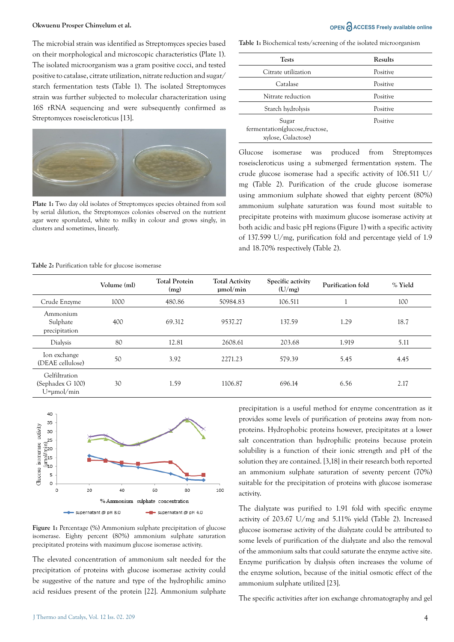The microbial strain was identified as Streptomyces species based on their morphological and microscopic characteristics (Plate 1). The isolated microorganism was a gram positive cocci, and tested positive to catalase, citrate utilization, nitrate reduction and sugar/ starch fermentation tests (Table 1). The isolated Streptomyces strain was further subjected to molecular characterization using 16S rRNA sequencing and were subsequently confirmed as Streptomyces roseiscleroticus [13].



**Plate 1:** Two day old isolates of Streptomyces species obtained from soil by serial dilution, the Streptomyces colonies observed on the nutrient agar were sporulated, white to milky in colour and grows singly, in clusters and sometimes, linearly.

# **Okwuenu Prosper Chinyelum et al. OPEN ACCESS Freely available online**

**Table 1:** Biochemical tests/screening of the isolated microorganism

| <b>Tests</b>                                                   | <b>Results</b> |
|----------------------------------------------------------------|----------------|
| Citrate utilization                                            | Positive       |
| Catalase                                                       | Positive       |
| Nitrate reduction                                              | Positive       |
| Starch hydrolysis                                              | Positive       |
| Sugar<br>fermentation(glucose, fructose,<br>xylose, Galactose) | Positive       |

Glucose isomerase was produced from Streptomyces roseiscleroticus using a submerged fermentation system. The crude glucose isomerase had a specific activity of 106.511 U/ mg (Table 2). Purification of the crude glucose isomerase using ammonium sulphate showed that eighty percent (80%) ammonium sulphate saturation was found most suitable to precipitate proteins with maximum glucose isomerase activity at both acidic and basic pH regions (Figure 1) with a specific activity of 137.599 U/mg, purification fold and percentage yield of 1.9 and 18.70% respectively (Table 2).

**Table 2:** Purification table for glucose isomerase

|                                                        | Volume (ml) | <b>Total Protein</b><br>(mg) | <b>Total Activity</b><br>$\mu$ mol/min | Specific activity<br>(U/mg) | Purification fold | % Yield |
|--------------------------------------------------------|-------------|------------------------------|----------------------------------------|-----------------------------|-------------------|---------|
| Crude Enzyme                                           | 1000        | 480.86                       | 50984.83                               | 106.511                     |                   | 100     |
| Ammonium<br>Sulphate<br>precipitation                  | 400         | 69.312                       | 9537.27                                | 137.59                      | 1.29              | 18.7    |
| Dialysis                                               | 80          | 12.81                        | 2608.61                                | 203.68                      | 1.919             | 5.11    |
| Ion exchange<br>(DEAE cellulose)                       | 50          | 3.92                         | 2271.23                                | 579.39                      | 5.45              | 4.45    |
| Gelfiltration<br>(Sephadex G 100)<br>$U = \mu$ mol/min | 30          | 1.59                         | 1106.87                                | 696.14                      | 6.56              | 2.17    |



**Figure 1:** Percentage (%) Ammonium sulphate precipitation of glucose isomerase. Eighty percent (80%) ammonium sulphate saturation precipitated proteins with maximum glucose isomerase activity.

The elevated concentration of ammonium salt needed for the precipitation of proteins with glucose isomerase activity could be suggestive of the nature and type of the hydrophilic amino acid residues present of the protein [22]. Ammonium sulphate

precipitation is a useful method for enzyme concentration as it provides some levels of purification of proteins away from nonproteins. Hydrophobic proteins however, precipitates at a lower salt concentration than hydrophilic proteins because protein solubility is a function of their ionic strength and pH of the solution they are contained. [3,18] in their research both reported an ammonium sulphate saturation of seventy percent (70%) suitable for the precipitation of proteins with glucose isomerase activity.

The dialyzate was purified to 1.91 fold with specific enzyme activity of 203.67 U/mg and 5.11% yield (Table 2). Increased glucose isomerase activity of the dialyzate could be attributed to some levels of purification of the dialyzate and also the removal of the ammonium salts that could saturate the enzyme active site. Enzyme purification by dialysis often increases the volume of the enzyme solution, because of the initial osmotic effect of the ammonium sulphate utilized [23].

The specific activities after ion exchange chromatography and gel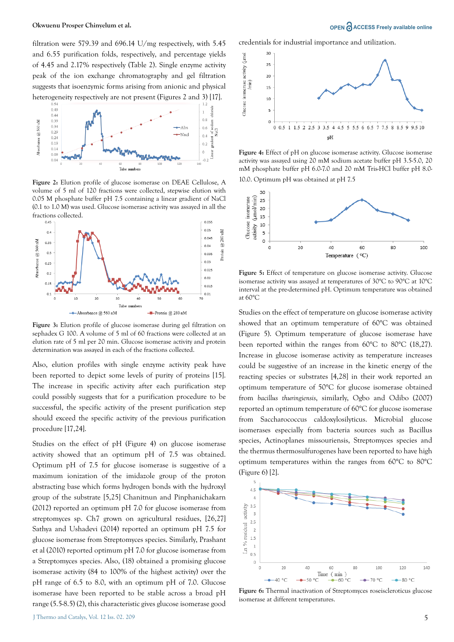filtration were 579.39 and 696.14 U/mg respectively, with 5.45 and 6.55 purification folds, respectively, and percentage yields of 4.45 and 2.17% respectively (Table 2). Single enzyme activity peak of the ion exchange chromatography and gel filtration suggests that isoenzymic forms arising from anionic and physical heterogeneity respectively are not present (Figures 2 and 3) [17].



**Figure 2:** Elution profile of glucose isomerase on DEAE Cellulose, A volume of 5 ml of 120 fractions were collected, stepwise elution with 0.05 M phosphate buffer pH 7.5 containing a linear gradient of NaCl (0.1 to 1.0 M) was used. Glucose isomerase activity was assayed in all the fractions collected.



**Figure 3:** Elution profile of glucose isomerase during gel filtration on sephadex G 100. A volume of 5 ml of 60 fractions were collected at an elution rate of 5 ml per 20 min. Glucose isomerase activity and protein determination was assayed in each of the fractions collected.

Also, elution profiles with single enzyme activity peak have been reported to depict some levels of purity of proteins [15]. The increase in specific activity after each purification step could possibly suggests that for a purification procedure to be successful, the specific activity of the present purification step should exceed the specific activity of the previous purification procedure [17,24].

Studies on the effect of pH (Figure 4) on glucose isomerase activity showed that an optimum pH of 7.5 was obtained. Optimum pH of 7.5 for glucose isomerase is suggestive of a maximum ionization of the imidazole group of the proton abstracting base which forms hydrogen bonds with the hydroxyl group of the substrate [5,25] Chanitnun and Pinphanichakarn (2012) reported an optimum pH 7.0 for glucose isomerase from streptomyces sp. Ch7 grown on agricultural residues, [26,27] Sathya and Ushadevi (2014) reported an optimum pH 7.5 for glucose isomerase from Streptomyces species. Similarly, Prashant et al (2010) reported optimum pH 7.0 for glucose isomerase from a Streptomyces species. Also, (18) obtained a promising glucose isomerase activity (84 to 100% of the highest activity) over the pH range of 6.5 to 8.0, with an optimum pH of 7.0. Glucose isomerase have been reported to be stable across a broad pH range (5.5-8.5) (2), this characteristic gives glucose isomerase good

credentials for industrial importance and utilization.



**Figure 4:** Effect of pH on glucose isomerase activity. Glucose isomerase activity was assayed using 20 mM sodium acetate buffer pH 3.5-5.0, 20 mM phosphate buffer pH 6.0-7.0 and 20 mM Tris-HCl buffer pH 8.0-

10.0. Optimum pH was obtained at pH 7.5



**Figure 5:** Effect of temperature on glucose isomerase activity. Glucose isomerase activity was assayed at temperatures of 30°C to 90°C at 10°C interval at the pre-determined pH. Optimum temperature was obtained at 60°C

Studies on the effect of temperature on glucose isomerase activity showed that an optimum temperature of 60°C was obtained (Figure 5). Optimum temperature of glucose isomerase have been reported within the ranges from 60°C to 80°C (18,27). Increase in glucose isomerase activity as temperature increases could be suggestive of an increase in the kinetic energy of the reacting species or substrates [4,28] in their work reported an optimum temperature of 50°C for glucose isomerase obtained from *bacillus thuringiensis*, similarly, Ogbo and Odibo (2007) reported an optimum temperature of 60°C for glucose isomerase from Saccharococcus caldoxylosilyticus. Microbial glucose isomerases especially from bacteria sources such as Bacillus species, Actinoplanes missouriensis, Streptomyces species and the thermus thermosulfurogenes have been reported to have high optimum temperatures within the ranges from 60°C to 80°C (Figure 6) [2].



**Figure 6:** Thermal inactivation of Streptomyces roseiscleroticus glucose isomerase at different temperatures.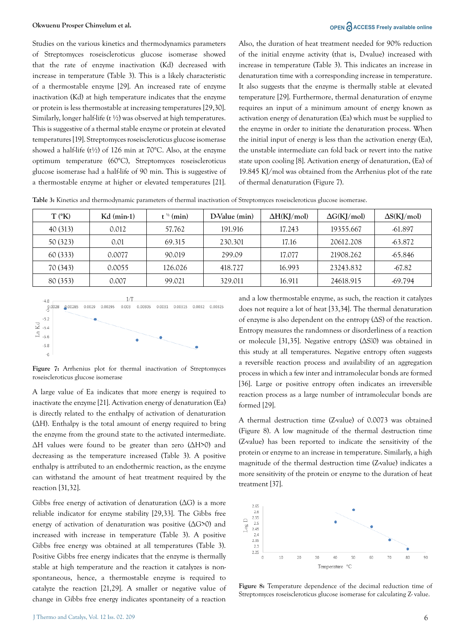#### **Okwuenu Prosper Chinyelum et al. Ching and Security Community Community Community Community Community Community Community Community Community Community Community Community Community Community Community Community Communi**

Studies on the various kinetics and thermodynamics parameters of Streptomyces roseiscleroticus glucose isomerase showed that the rate of enzyme inactivation (Kd) decreased with increase in temperature (Table 3). This is a likely characteristic of a thermostable enzyme [29]. An increased rate of enzyme inactivation (Kd) at high temperature indicates that the enzyme or protein is less thermostable at increasing temperatures [29,30]. Similarly, longer half-life (t ½) was observed at high temperatures. This is suggestive of a thermal stable enzyme or protein at elevated temperatures [19]. Streptomyces roseiscleroticus glucose isomerase showed a half-life ( $t\frac{1}{2}$ ) of 126 min at 70°C. Also, at the enzyme optimum temperature (60°C), Streptomyces roseiscleroticus glucose isomerase had a half-life of 90 min. This is suggestive of a thermostable enzyme at higher or elevated temperatures [21].

Also, the duration of heat treatment needed for 90% reduction of the initial enzyme activity (that is, D-value) increased with increase in temperature (Table 3). This indicates an increase in denaturation time with a corresponding increase in temperature. It also suggests that the enzyme is thermally stable at elevated temperature [29]. Furthermore, thermal denaturation of enzyme requires an input of a minimum amount of energy known as activation energy of denaturation (Ea) which must be supplied to the enzyme in order to initiate the denaturation process. When the initial input of energy is less than the activation energy (Ea), the unstable intermediate can fold back or revert into the native state upon cooling [8]. Activation energy of denaturation, (Ea) of 19.845 KJ/mol was obtained from the Arrhenius plot of the rate of thermal denaturation (Figure 7).

**Table 3:** Kinetics and thermodynamic parameters of thermal inactivation of Streptomyces roseiscleroticus glucose isomerase.

| $T (^{\circ}K)$ | $Kd$ (min-1) | $t^{\frac{1}{2}}$ (min) | D-Value (min) | $\Delta H(KJ/mol)$ | $\Delta G(KJ/mol)$ | $\Delta S(KJ/mol)$ |
|-----------------|--------------|-------------------------|---------------|--------------------|--------------------|--------------------|
| 40 (313)        | 0.012        | 57.762                  | 191.916       | 17.243             | 19355.667          | -61.897            |
| 50 (323)        | 0.01         | 69.315                  | 230.301       | 17.16              | 20612.208          | $-63.872$          |
| 60 (333)        | 0.0077       | 90.019                  | 299.09        | 17.077             | 21908.262          | -65.846            |
| 70 (343)        | 0.0055       | 126.026                 | 418.727       | 16.993             | 23243.832          | $-67.82$           |
| 80 (353)        | 0.007        | 99.021                  | 329.011       | 16.911             | 24618.915          | $-69.794$          |



**Figure 7:** Arrhenius plot for thermal inactivation of Streptomyces roseiscleroticus glucose isomerase

A large value of Ea indicates that more energy is required to inactivate the enzyme [21]. Activation energy of denaturation (Ea) is directly related to the enthalpy of activation of denaturation (ΔH). Enthalpy is the total amount of energy required to bring the enzyme from the ground state to the activated intermediate. ΔH values were found to be greater than zero (ΔH>0) and decreasing as the temperature increased (Table 3). A positive enthalpy is attributed to an endothermic reaction, as the enzyme can withstand the amount of heat treatment required by the reaction [31,32].

Gibbs free energy of activation of denaturation  $( \Delta G )$  is a more reliable indicator for enzyme stability [29,33]. The Gibbs free energy of activation of denaturation was positive (ΔG>0) and increased with increase in temperature (Table 3). A positive Gibbs free energy was obtained at all temperatures (Table 3). Positive Gibbs free energy indicates that the enzyme is thermally stable at high temperature and the reaction it catalyzes is nonspontaneous, hence, a thermostable enzyme is required to catalyze the reaction [21,29]. A smaller or negative value of change in Gibbs free energy indicates spontaneity of a reaction and a low thermostable enzyme, as such, the reaction it catalyzes does not require a lot of heat [33,34]. The thermal denaturation of enzyme is also dependent on the entropy (ΔS) of the reaction. Entropy measures the randomness or disorderliness of a reaction or molecule [31,35]. Negative entropy ( $\Delta$ SIO) was obtained in this study at all temperatures. Negative entropy often suggests a reversible reaction process and availability of an aggregation process in which a few inter and intramolecular bonds are formed [36]. Large or positive entropy often indicates an irreversible reaction process as a large number of intramolecular bonds are formed [29].

A thermal destruction time (Z-value) of 0.0073 was obtained (Figure 8). A low magnitude of the thermal destruction time (Z-value) has been reported to indicate the sensitivity of the protein or enzyme to an increase in temperature. Similarly, a high magnitude of the thermal destruction time (Z-value) indicates a more sensitivity of the protein or enzyme to the duration of heat treatment [37].



**Figure 8:** Temperature dependence of the decimal reduction time of Streptomyces roseiscleroticus glucose isomerase for calculating Z- value.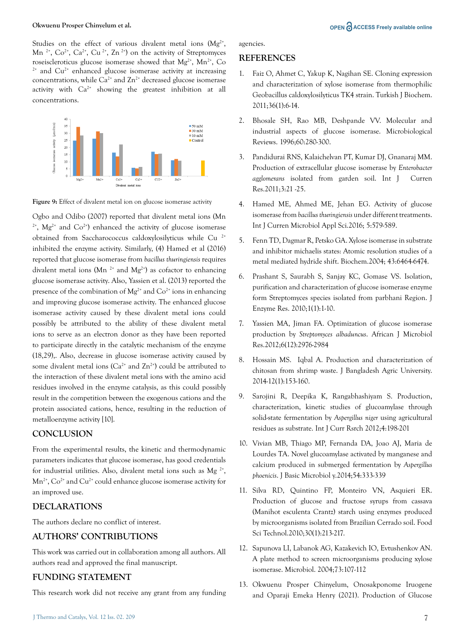Studies on the effect of various divalent metal ions  $(Mg^{2+})$ , Mn<sup>2+</sup>,  $Co^{2+}$ ,  $Ca^{2+}$ ,  $Cu^{2+}$ ,  $Zn^{2+}$ ) on the activity of Streptomyces roseiscleroticus glucose isomerase showed that  $Mg^{2+}$ ,  $Mn^{2+}$ , Co  $2+$  and Cu<sup>2+</sup> enhanced glucose isomerase activity at increasing concentrations, while  $Ca^{2+}$  and  $Zn^{2+}$  decreased glucose isomerase activity with  $Ca^{2+}$  showing the greatest inhibition at all concentrations.



**Figure 9:** Effect of divalent metal ion on glucose isomerase activity

Ogbo and Odibo (2007) reported that divalent metal ions (Mn  $2^+$ , Mg<sup>2+</sup> and Co<sup>2+</sup>) enhanced the activity of glucose isomerase obtained from Saccharococcus caldoxylosilyticus while Cu 2+ inhibited the enzyme activity. Similarly, (4) Hamed et al (2016) reported that glucose isomerase from *bacillus thuringiensis* requires divalent metal ions (Mn<sup>2+</sup> and Mg<sup>2+</sup>) as cofactor to enhancing glucose isomerase activity. Also, Yassien et al. (2013) reported the presence of the combination of  $Mg^{2+}$  and  $Co^{2+}$  ions in enhancing and improving glucose isomerase activity. The enhanced glucose isomerase activity caused by these divalent metal ions could possibly be attributed to the ability of these divalent metal ions to serve as an electron donor as they have been reported to participate directly in the catalytic mechanism of the enzyme (18,29),. Also, decrease in glucose isomerase activity caused by some divalent metal ions ( $Ca^{2+}$  and  $Zn^{2+}$ ) could be attributed to the interaction of these divalent metal ions with the amino acid residues involved in the enzyme catalysis, as this could possibly result in the competition between the exogenous cations and the protein associated cations, hence, resulting in the reduction of metalloenzyme activity [10].

# **CONCLUSION**

From the experimental results, the kinetic and thermodynamic parameters indicates that glucose isomerase, has good credentials for industrial utilities. Also, divalent metal ions such as  $Mg^{2+}$ ,  $Mn^{2+}$ ,  $Co^{2+}$  and  $Cu^{2+}$  could enhance glucose isomerase activity for an improved use.

# **DECLARATIONS**

The authors declare no conflict of interest.

# **AUTHORS' CONTRIBUTIONS**

This work was carried out in collaboration among all authors. All authors read and approved the final manuscript.

# **FUNDING STATEMENT**

This research work did not receive any grant from any funding

#### **REFERENCES**

- 1. Faiz O, Ahmet C, Yakup K, Nagihan SE. Cloning expression and characterization of xylose isomerase from thermophilic Geobacillus caldoxylosilyticus TK4 strain. Turkish J Biochem. 2011;36(1):6-14.
- 2. [Bhosale SH, Rao MB, Deshpande VV. Molecular and](https://doi.org/10.1128/mr.60.2.280-300.1996)  [industrial aspects of glucose isomerase. Microbiological](https://doi.org/10.1128/mr.60.2.280-300.1996)  [Reviews. 1996;60:280-300.](https://doi.org/10.1128/mr.60.2.280-300.1996)
- 3. Pandidurai RNS, Kalaichelvan PT, Kumar DJ, Gnanaraj MM. Production of extracellular glucose isomerase by *Enterobacter agglomerans* isolated from garden soil. Int J Curren Res.2011;3:21 -25.
- 4. [Hamed ME, Ahmed ME, Jehan EG. Activity of glucose](http://dx.doi.org/10.20546/ijcmas.2016.502.065)  isomerase from *bacillus thuringiensis* [under different treatments.](http://dx.doi.org/10.20546/ijcmas.2016.502.065)  [Int J Curren Microbiol Appl Sci.2016; 5:579-589.](http://dx.doi.org/10.20546/ijcmas.2016.502.065)
- 5. [Fenn TD, Dagmar R, Petsko GA. Xylose isomerase in substrate](https://doi.org/10.1021/bi049812o)  [and inhibitor michaelis states: Atomic resolution studies of a](https://doi.org/10.1021/bi049812o)  [metal mediated hydride shift. Biochem.2004; 43:6464-6474](https://doi.org/10.1021/bi049812o).
- 6. Prashant S, Saurabh S, Sanjay KC, Gomase VS. Isolation, purification and characterization of glucose isomerase enzyme form Streptomyces species isolated from parbhani Region. J Enzyme Res. 2010;1(1):1-10.
- 7. [Yassien MA, Jiman FA. Optimization of glucose isomerase](http://dx.doi.org/10.1155/2018/6842843)  production by *[Streptomyces albaduncus](http://dx.doi.org/10.1155/2018/6842843)*. African J Microbiol [Res.2012;6\(12\):2976-2984](http://dx.doi.org/10.1155/2018/6842843)
- 8. [Hossain MS. Iqbal A. Production and characterization of](http://dx.doi.org/10.3329/jbau.v12i1.21405)  [chitosan from shrimp waste. J Bangladesh Agric University.](http://dx.doi.org/10.3329/jbau.v12i1.21405)  [2014-12\(1\):153-160.](http://dx.doi.org/10.3329/jbau.v12i1.21405)
- 9. [Sarojini R, Deepika K, Rangabhashiyam S. Production,](http://dx.doi.org/10.13140/RG.2.1.3725.8723)  [characterization, kinetic studies of glucoamylase through](http://dx.doi.org/10.13140/RG.2.1.3725.8723)  [solid-state fermentation by](http://dx.doi.org/10.13140/RG.2.1.3725.8723) *Aspergillus niger* using agricultural [residues as substrate. Int J Curr Rsrch 2012;4:198-201](http://dx.doi.org/10.13140/RG.2.1.3725.8723)
- 10. [Vivian MB, Thiago MP, Fernanda DA, Joao AJ, Maria de](https://doi.org/10.1002/jobm.201200515)  [Lourdes TA. Novel glucoamylase activated by manganese and](https://doi.org/10.1002/jobm.201200515)  [calcium produced in submerged fermentation by](https://doi.org/10.1002/jobm.201200515) *Aspergillus phoenicis*[. J Basic Microbiol y.2014;54:333-339](https://doi.org/10.1002/jobm.201200515)
- 11. [Silva RD, Quintino FP, Monteiro VN, Asquieri ER.](http://dx.doi.org/10.1590/S0101-20612010005000011)  [Production of glucose and fructose syrups from cassava](http://dx.doi.org/10.1590/S0101-20612010005000011)  [\(Manihot esculenta Crantz\) starch using enzymes produced](http://dx.doi.org/10.1590/S0101-20612010005000011)  [by microorganisms isolated from Brazilian Cerrado soil. Food](http://dx.doi.org/10.1590/S0101-20612010005000011)  [Sci Technol.2010;30\(1\):213-217.](http://dx.doi.org/10.1590/S0101-20612010005000011)
- 12. Sapunova LI, Labanok AG, Kazakevich IO, Evtushenkov AN. A plate method to screen microorganisms producing xylose isomerase. Microbiol. 2004;73:107-112
- 13. Okwuenu Prosper Chinyelum, Onosakponome Iruogene and Oparaji Emeka Henry (2021). Production of Glucose